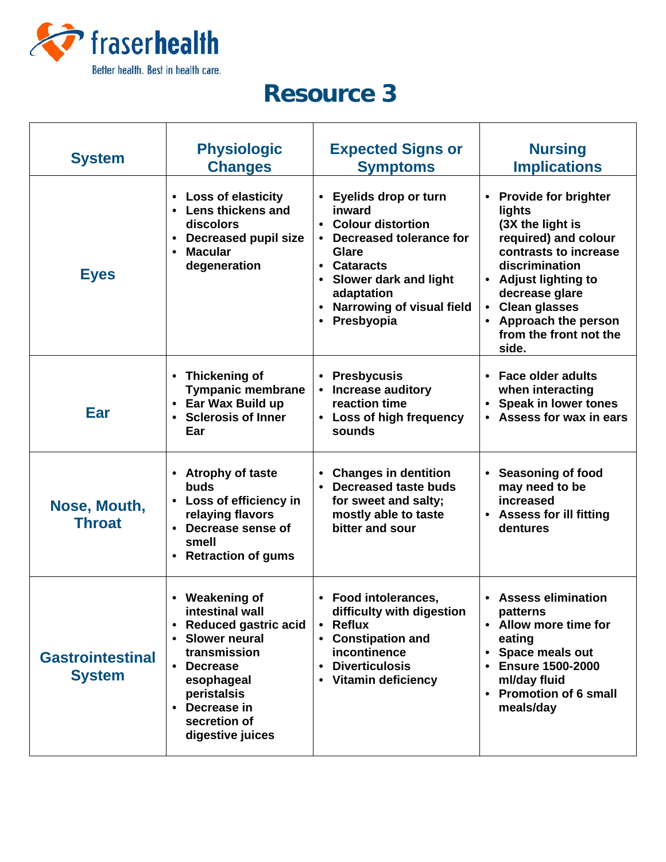

## **Resource 3**

| <b>System</b>                            | <b>Physiologic</b><br><b>Changes</b>                                                                                                                                                                                                    | <b>Expected Signs or</b><br><b>Symptoms</b>                                                                                                                                                                                    | <b>Nursing</b><br><b>Implications</b>                                                                                                                                                                                                                 |
|------------------------------------------|-----------------------------------------------------------------------------------------------------------------------------------------------------------------------------------------------------------------------------------------|--------------------------------------------------------------------------------------------------------------------------------------------------------------------------------------------------------------------------------|-------------------------------------------------------------------------------------------------------------------------------------------------------------------------------------------------------------------------------------------------------|
| <b>Eyes</b>                              | <b>Loss of elasticity</b><br>$\bullet$<br><b>Lens thickens and</b><br>discolors<br><b>Decreased pupil size</b><br>$\bullet$<br><b>Macular</b><br>$\bullet$<br>degeneration                                                              | Eyelids drop or turn<br>inward<br><b>Colour distortion</b><br>• Decreased tolerance for<br><b>Glare</b><br>• Cataracts<br>• Slower dark and light<br>adaptation<br><b>Narrowing of visual field</b><br>Presbyopia<br>$\bullet$ | <b>Provide for brighter</b><br>lights<br>(3X the light is<br>required) and colour<br>contrasts to increase<br>discrimination<br>• Adjust lighting to<br>decrease glare<br>• Clean glasses<br>• Approach the person<br>from the front not the<br>side. |
| Ear                                      | • Thickening of<br><b>Tympanic membrane</b><br>• Ear Wax Build up<br>• Sclerosis of Inner<br>Ear                                                                                                                                        | <b>Presbycusis</b><br>• Increase auditory<br>reaction time<br>• Loss of high frequency<br>sounds                                                                                                                               | • Face older adults<br>when interacting<br>• Speak in lower tones<br>• Assess for wax in ears                                                                                                                                                         |
| Nose, Mouth,<br><b>Throat</b>            | • Atrophy of taste<br>buds<br>• Loss of efficiency in<br>relaying flavors<br>• Decrease sense of<br>smell<br><b>Retraction of gums</b>                                                                                                  | <b>Changes in dentition</b><br><b>Decreased taste buds</b><br>$\bullet$<br>for sweet and salty;<br>mostly able to taste<br>bitter and sour                                                                                     | • Seasoning of food<br>may need to be<br>increased<br>• Assess for ill fitting<br>dentures                                                                                                                                                            |
| <b>Gastrointestinal</b><br><b>System</b> | • Weakening of<br>intestinal wall<br><b>Reduced gastric acid</b><br>$\bullet$<br><b>Slower neural</b><br>$\bullet$<br>transmission<br><b>Decrease</b><br>esophageal<br>peristalsis<br>• Decrease in<br>secretion of<br>digestive juices | • Food intolerances,<br>difficulty with digestion<br><b>Reflux</b><br>$\bullet$<br><b>Constipation and</b><br>incontinence<br><b>Diverticulosis</b><br>• Vitamin deficiency                                                    | • Assess elimination<br>patterns<br>• Allow more time for<br>eating<br>• Space meals out<br><b>Ensure 1500-2000</b><br>ml/day fluid<br><b>Promotion of 6 small</b><br>meals/day                                                                       |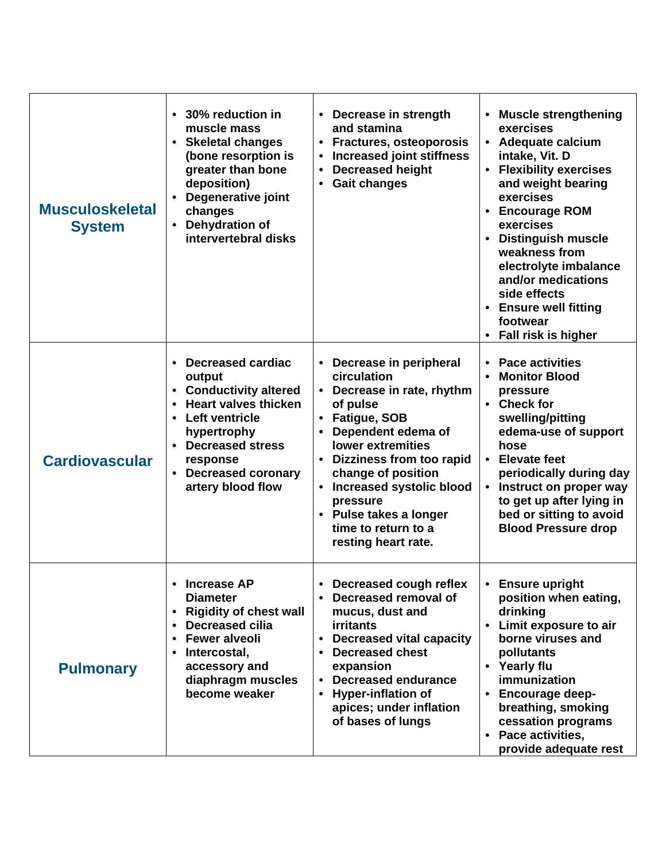| <b>Musculoskeletal</b><br><b>System</b> | 30% reduction in<br>$\bullet$<br>muscle mass<br>• Skeletal changes<br>(bone resorption is<br>greater than bone<br>deposition)<br>Degenerative joint<br>changes<br><b>Dehydration of</b><br>intervertebral disks                                        | • Decrease in strength<br>and stamina<br>• Fractures, osteoporosis<br><b>Increased joint stiffness</b><br><b>Decreased height</b><br>$\bullet$<br><b>Gait changes</b><br>$\bullet$                                                                                                                                                     | • Muscle strengthening<br>exercises<br>• Adequate calcium<br>intake, Vit. D<br>• Flexibility exercises<br>and weight bearing<br>exercises<br><b>Encourage ROM</b><br>$\bullet$<br>exercises<br><b>Distinguish muscle</b><br>$\bullet$<br>weakness from<br>electrolyte imbalance<br>and/or medications<br>side effects<br>• Ensure well fitting<br>footwear<br><b>Fall risk is higher</b> |
|-----------------------------------------|--------------------------------------------------------------------------------------------------------------------------------------------------------------------------------------------------------------------------------------------------------|----------------------------------------------------------------------------------------------------------------------------------------------------------------------------------------------------------------------------------------------------------------------------------------------------------------------------------------|------------------------------------------------------------------------------------------------------------------------------------------------------------------------------------------------------------------------------------------------------------------------------------------------------------------------------------------------------------------------------------------|
| <b>Cardiovascular</b>                   | <b>Decreased cardiac</b><br>$\bullet$<br>output<br>• Conductivity altered<br><b>Heart valves thicken</b><br>$\bullet$<br><b>Left ventricle</b><br>hypertrophy<br><b>Decreased stress</b><br>response<br><b>Decreased coronary</b><br>artery blood flow | • Decrease in peripheral<br>circulation<br>• Decrease in rate, rhythm<br>of pulse<br>• Fatigue, SOB<br>Dependent edema of<br><b>lower extremities</b><br>• Dizziness from too rapid<br>change of position<br>Increased systolic blood<br>$\bullet$<br>pressure<br>• Pulse takes a longer<br>time to return to a<br>resting heart rate. | <b>Pace activities</b><br>$\bullet$<br><b>Monitor Blood</b><br>$\bullet$<br>pressure<br>• Check for<br>swelling/pitting<br>edema-use of support<br>hose<br><b>Elevate feet</b><br>$\bullet$<br>periodically during day<br>Instruct on proper way<br>$\bullet$<br>to get up after lying in<br>bed or sitting to avoid<br><b>Blood Pressure drop</b>                                       |
| <b>Pulmonary</b>                        | <b>Increase AP</b><br><b>Diameter</b><br><b>Rigidity of chest wall</b><br>$\bullet$<br><b>Decreased cilia</b><br>$\bullet$<br><b>Fewer alveoli</b><br>$\bullet$<br>Intercostal,<br>$\bullet$<br>accessory and<br>diaphragm muscles<br>become weaker    | Decreased cough reflex<br>Decreased removal of<br>mucus, dust and<br><b>irritants</b><br>• Decreased vital capacity<br>• Decreased chest<br>expansion<br><b>Decreased endurance</b><br><b>Hyper-inflation of</b><br>apices; under inflation<br>of bases of lungs                                                                       | <b>Ensure upright</b><br>position when eating,<br>drinking<br>• Limit exposure to air<br>borne viruses and<br>pollutants<br>• Yearly flu<br>immunization<br><b>Encourage deep-</b><br>$\bullet$<br>breathing, smoking<br>cessation programs<br>• Pace activities,<br>provide adequate rest                                                                                               |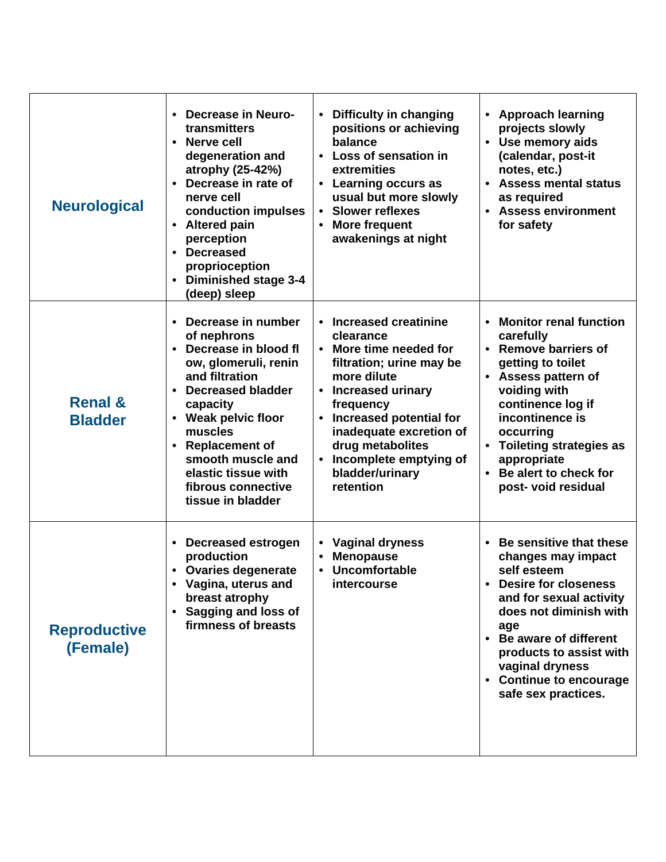| <b>Neurological</b>                  | <b>Decrease in Neuro-</b><br>$\bullet$<br>transmitters<br>• Nerve cell<br>degeneration and<br>atrophy (25-42%)<br>Decrease in rate of<br>nerve cell<br>conduction impulses<br><b>Altered pain</b><br>$\bullet$<br>perception<br>• Decreased<br>proprioception<br>• Diminished stage 3-4<br>(deep) sleep                              | • Difficulty in changing<br>positions or achieving<br>balance<br>• Loss of sensation in<br>extremities<br>• Learning occurs as<br>usual but more slowly<br><b>Slower reflexes</b><br><b>More frequent</b><br>awakenings at night                                                             | <b>Approach learning</b><br>projects slowly<br>• Use memory aids<br>(calendar, post-it<br>notes, etc.)<br><b>Assess mental status</b><br>as required<br>• Assess environment<br>for safety                                                                                                                     |
|--------------------------------------|--------------------------------------------------------------------------------------------------------------------------------------------------------------------------------------------------------------------------------------------------------------------------------------------------------------------------------------|----------------------------------------------------------------------------------------------------------------------------------------------------------------------------------------------------------------------------------------------------------------------------------------------|----------------------------------------------------------------------------------------------------------------------------------------------------------------------------------------------------------------------------------------------------------------------------------------------------------------|
| <b>Renal &amp;</b><br><b>Bladder</b> | Decrease in number<br>$\bullet$<br>of nephrons<br>Decrease in blood fl<br>$\bullet$<br>ow, glomeruli, renin<br>and filtration<br><b>Decreased bladder</b><br>$\bullet$<br>capacity<br>• Weak pelvic floor<br>muscles<br><b>Replacement of</b><br>smooth muscle and<br>elastic tissue with<br>fibrous connective<br>tissue in bladder | <b>Increased creatinine</b><br>clearance<br>More time needed for<br>filtration; urine may be<br>more dilute<br>• Increased urinary<br>frequency<br><b>Increased potential for</b><br>inadequate excretion of<br>drug metabolites<br>• Incomplete emptying of<br>bladder/urinary<br>retention | <b>Monitor renal function</b><br>carefully<br><b>Remove barriers of</b><br>$\bullet$<br>getting to toilet<br>• Assess pattern of<br>voiding with<br>continence log if<br>incontinence is<br>occurring<br>• Toileting strategies as<br>appropriate<br>Be alert to check for<br>$\bullet$<br>post- void residual |
| <b>Reproductive</b><br>(Female)      | • Decreased estrogen<br>production<br>• Ovaries degenerate<br>Vagina, uterus and<br>breast atrophy<br>• Sagging and loss of<br>firmness of breasts                                                                                                                                                                                   | • Vaginal dryness<br><b>Menopause</b><br>Uncomfortable<br><i>intercourse</i>                                                                                                                                                                                                                 | • Be sensitive that these<br>changes may impact<br>self esteem<br><b>Desire for closeness</b><br>and for sexual activity<br>does not diminish with<br>age<br>• Be aware of different<br>products to assist with<br>vaginal dryness<br>• Continue to encourage<br>safe sex practices.                           |